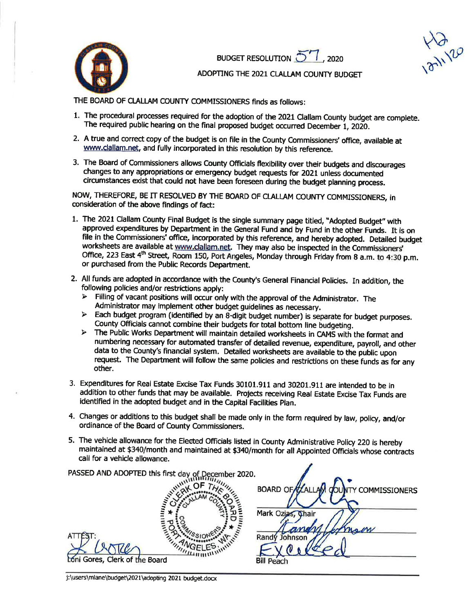

BUDGET RESOLUTION 57, 2020

**LIVE** 

## ADOPTING THE 2021 CLALLAM COUNTY BUDGET

THE BOARD OF CLALLAM COUNTY COMMISSIONERS finds as follows:

- 1. The procedural processes required for the adoption of the 2021 Clailam County budget are complete. The required public hearing on the final proposed budget occurred December 1, 2020.
- 2. A true and correct copy of the budget is on file in the County Commissioners' office, available at www.clallam.net, and fully incorporated in this resolution by this reference.
- 3. The Board of Commissioners allows County Officials flexibility over their budgets and discourages changes to any appropriations or emergency budget requests for 2021 unless documented circumstances exist that could not have been foreseen during the budget planning process.

NOW, THEREFORE, BE IT RESOLVED BY THE BOARD OF CLALLAM COUNTY COMMISSIONERS, in consideration of the above findings of fact:

- 1. The 2021 Clallam County Final Budget is the single summary page titled, "Adopted Budget" with approved expenditures by Department in the General Fund and by Fund in the other Funds. It is on file in the Commissioners' office, incorporated by this reference, and hereby adopted. Detailed budget worksheets are available at www.clallam.net. They may also be inspected in the Commissioners' Office, 223 East 4th Street, Room 150, Port Angeles, Monday through Friday from 8 a.m. to 4:30 p.m. or purchased from the Public Records Department.
- 2. All funds are adopted in accordance with the County's General Financial Policies. In addition, the following policies and/or restrictions apply:
	- > Filling of vacant positions will occur only with the approval of the Administrator. The Administrator may implement other budget quidelines as necessary.
	- > Each budget program (identified by an 8-digit budget number) is separate for budget purposes. County Officials cannot combine their budgets for total bottom line budgeting.
	- > The Public Works Department will maintain detailed worksheets in CAMS with the format and numbering necessary for automated transfer of detailed revenue, expenditure, payroll, and other data to the County's financial system. Detailed worksheets are available to the public upon request. The Department will follow the same policies and restrictions on these funds as for any other.
- 3. Expenditures for Real Estate Excise Tax Funds 30101.911 and 30201.911 are intended to be in addition to other funds that may be available. Projects receiving Real Estate Excise Tax Funds are identified in the adopted budget and in the Capital Facilities Plan.
- 4. Changes or additions to this budget shall be made only in the form required by law, policy, and/or ordinance of the Board of County Commissioners.
- 5. The vehicle allowance for the Elected Officials listed in County Administrative Policy 220 is hereby maintained at \$340/month and maintained at \$340/month for all Appointed Officials whose contracts call for a vehicle allowance.

| PASSED AND ADOPTED this first day of December 2020. |                                                  |
|-----------------------------------------------------|--------------------------------------------------|
|                                                     | <b>BOARD OF CALLAM COL</b><br>UNTY COMMISSIONERS |
|                                                     |                                                  |
|                                                     | Mark Ozias, Chair                                |
|                                                     | son                                              |
| ATT                                                 | hnson<br>Ran                                     |
|                                                     |                                                  |
| Loni Gores, Clerk of the Board                      | <b>Bill Peach</b>                                |
|                                                     |                                                  |

j:\users\mlane\budget\2021\adopting 2021 budget.docx